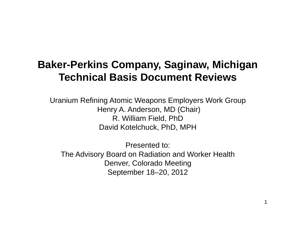# **Baker-Perkins Company, Saginaw, Michigan Technical Basis Document Reviews**

Uranium Refining Atomic Weapons Employers Work Group Henry A. Anderson, MD (Chair) R. William Field, PhD David Kotelchuck, PhD, MPH

Presented to: The Advisory Board on Radiation and Worker Health Denver, Colorado Meeting September 18–20, 2012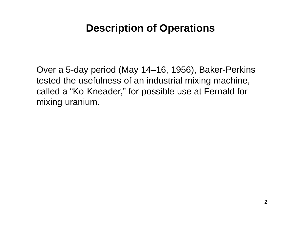## **Description of Operations**

Over a 5-day period (May 14–16, 1956), Baker-Perkins tested the usefulness of an industrial mixing machine, called a "Ko-Kneader," for possible use at Fernald for mixing uranium.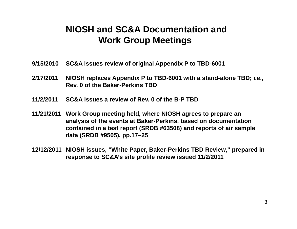### **NIOSH and SC&A Documentation andWork Group Meetings**

- **9/15/2010 SC&A issues review of original Appendix P to TBD-6001**
- **2/17/2011 NIOSH replaces Appendix P to TBD-6001 with a stand-alone TBD; i.e., Rev. 0 of the Baker-Perkins TBD**
- **11/2/2011SC&A issues a review of Rev. 0 of the B-P TBD**
- **11/21/2011 Work Group meeting held, where NIOSH agrees to prepare an analysis of the events at Baker-Perkins, based on documentation contained in a test report (SRDB #63508) and reports of air sample data (SRDB #9505), pp.17–25**
- **12/12/2011 NIOSH issues, "White Paper, Baker-Perkins TBD Review," prepared in response to SC&A's site profile review issued 11/2/2011**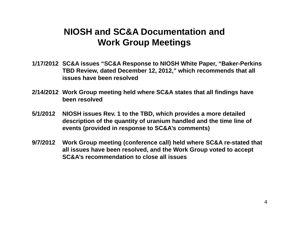### **NIOSH and SC&A Documentation andWork Group Meetings**

- **1/17/2012 SC&A issues "SC&A Response to NIOSH White Paper, "Baker-Perkins TBD Review, dated December 12, 2012," which recommends that all issues have been resolved**
- **2/14/2012 Work Group meeting held where SC&A states that all findings have been resolved**
- **5/1/2012 NIOSH issues Rev. 1 to the TBD, which provides a more detailed description of the quantity of uranium handled and the time line of events (provided in response to SC&A's comments)**
- **9/7/2012 Work Group meeting (conference call) held where SC&A re-stated that all issues have been resolved, and the Work Group voted to accept SC&A's recommendation to close all issues**